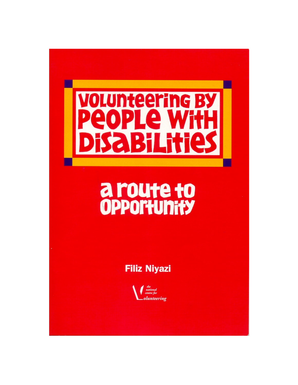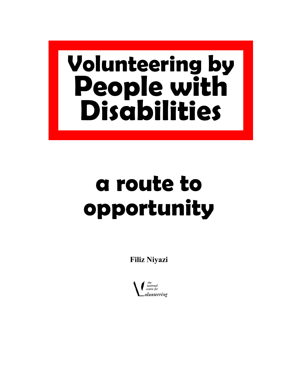# **Volunteering by People with Disabilities**

# **a route to opportunity**

**Filiz Niyazi** 

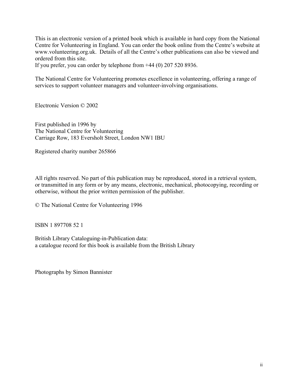This is an electronic version of a printed book which is available in hard copy from the National Centre for Volunteering in England. You can order the book online from the Centre's website at www.volunteering.org.uk. Details of all the Centre's other publications can also be viewed and ordered from this site.

If you prefer, you can order by telephone from +44 (0) 207 520 8936.

The National Centre for Volunteering promotes excellence in volunteering, offering a range of services to support volunteer managers and volunteer-involving organisations.

Electronic Version © 2002

First published in 1996 by The National Centre for Volunteering Carriage Row, 183 Eversholt Street, London NW1 IBU

Registered charity number 265866

All rights reserved. No part of this publication may be reproduced, stored in a retrieval system, or transmitted in any form or by any means, electronic, mechanical, photocopying, recording or otherwise, without the prior written permission of the publisher.

© The National Centre for Volunteering 1996

ISBN 1 897708 52 1

British Library Cataloguing-in-Publication data: a catalogue record for this book is available from the British Library

Photographs by Simon Bannister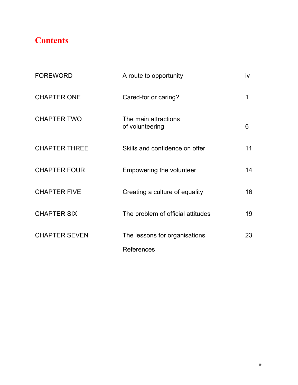# **Contents**

| <b>FOREWORD</b>      | A route to opportunity                             | iv |
|----------------------|----------------------------------------------------|----|
| <b>CHAPTER ONE</b>   | Cared-for or caring?                               | 1  |
| <b>CHAPTER TWO</b>   | The main attractions<br>of volunteering            | 6  |
| <b>CHAPTER THREE</b> | Skills and confidence on offer                     | 11 |
| <b>CHAPTER FOUR</b>  | Empowering the volunteer                           | 14 |
| <b>CHAPTER FIVE</b>  | Creating a culture of equality                     | 16 |
| <b>CHAPTER SIX</b>   | The problem of official attitudes                  | 19 |
| <b>CHAPTER SEVEN</b> | The lessons for organisations<br><b>References</b> | 23 |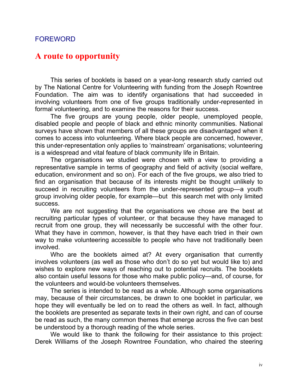#### FOREWORD

# **A route to opportunity**

This series of booklets is based on a year-long research study carried out by The National Centre for Volunteering with funding from the Joseph Rowntree Foundation. The aim was to identify organisations that had succeeded in involving volunteers from one of five groups traditionally under-represented in formal volunteering, and to examine the reasons for their success.

The five groups are young people, older people, unemployed people, disabled people and people of black and ethnic minority communities. National surveys have shown that members of all these groups are disadvantaged when it comes to access into volunteering. Where black people are concerned, however, this under-representation only applies to 'mainstream' organisations; volunteering is a widespread and vital feature of black community life in Britain.

The organisations we studied were chosen with a view to providing a representative sample in terms of geography and field of activity (social welfare, education, environment and so on). For each of the five groups, we also tried to find an organisation that because of its interests might be thought unlikely to succeed in recruiting volunteers from the under-represented group—a youth group involving older people, for example—but this search met with only limited success.

We are not suggesting that the organisations we chose are the best at recruiting particular types of volunteer, or that because they have managed to recruit from one group, they will necessarily be successful with the other four. What they have in common, however, is that they have each tried in their own way to make volunteering accessible to people who have not traditionally been involved.

Who are the booklets aimed at? At every organisation that currently involves volunteers (as well as those who don't do so yet but would like to) and wishes to explore new ways of reaching out to potential recruits. The booklets also contain useful lessons for those who make public policy—and, of course, for the volunteers and would-be volunteers themselves.

The series is intended to be read as a whole. Although some organisations may, because of their circumstances, be drawn to one booklet in particular, we hope they will eventually be led on to read the others as well. In fact, although the booklets are presented as separate texts in their own right, and can of course be read as such, the many common themes that emerge across the five can best be understood by a thorough reading of the whole series.

We would like to thank the following for their assistance to this project: Derek Williams of the Joseph Rowntree Foundation, who chaired the steering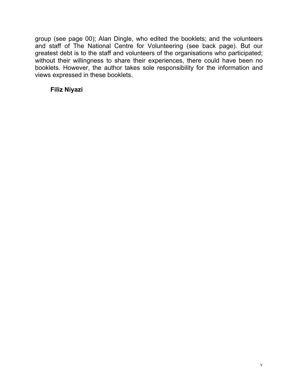group (see page 00); Alan Dingle, who edited the booklets; and the volunteers and staff of The National Centre for Volunteering (see back page). But our greatest debt is to the staff and volunteers of the organisations who participated; without their willingness to share their experiences, there could have been no booklets. However, the author takes sole responsibility for the information and views expressed in these booklets.

#### **Filiz Niyazi**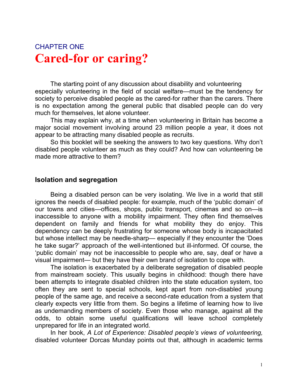# CHAPTER ONE **Cared-for or caring?**

 The starting point of any discussion about disability and volunteering especially volunteering in the field of social welfare—must be the tendency for society to perceive disabled people as the cared-for rather than the carers. There is no expectation among the general public that disabled people can do very much for themselves, let alone volunteer.

This may explain why, at a time when volunteering in Britain has become a major social movement involving around 23 million people a year, it does not appear to be attracting many disabled people as recruits.

So this booklet will be seeking the answers to two key questions. Why don't disabled people volunteer as much as they could? And how can volunteering be made more attractive to them?

#### **Isolation and segregation**

Being a disabled person can be very isolating. We live in a world that still ignores the needs of disabled people: for example, much of the 'public domain' of our towns and cities—offices, shops, public transport, cinemas and so on—is inaccessible to anyone with a mobility impairment. They often find themselves dependent on family and friends for what mobility they do enjoy. This dependency can be deeply frustrating for someone whose body is incapacitated but whose intellect may be needle-sharp— especially if they encounter the 'Does he take sugar?' approach of the well-intentioned but ill-informed. Of course, the 'public domain' may not be inaccessible to people who are, say, deaf or have a visual impairment— but they have their own brand of isolation to cope with.

The isolation is exacerbated by a deliberate segregation of disabled people from mainstream society. This usually begins in childhood: though there have been attempts to integrate disabled children into the state education system, too often they are sent to special schools, kept apart from non-disabled young people of the same age, and receive a second-rate education from a system that clearly expects very little from them. So begins a lifetime of learning how to live as undemanding members of society. Even those who manage, against all the odds, to obtain some useful qualifications will leave school completely unprepared for life in an integrated world.

In her book, *A Lot of Experience: Disabled people's views of volunteering,* disabled volunteer Dorcas Munday points out that, although in academic terms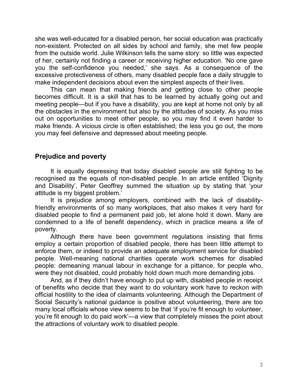she was well-educated for a disabled person, her social education was practically non-existent. Protected on all sides by school and family, she met few people from the outside world. Julie Wilkinson tells the same story: so little was expected of her, certainly not finding a career or receiving higher education. 'No one gave you the self-confidence you needed,' she says. As a consequence of the excessive protectiveness of others, many disabled people face a daily struggle to make independent decisions about even the simplest aspects of their lives.

This can mean that making friends and getting close to other people becomes difficult. It is a skill that has to be learned by actually going out and meeting people—but if you have a disability, you are kept at home not only by all the obstacles in the environment but also by the attitudes of society. As you miss out on opportunities to meet other people, so you may find it even harder to make friends. A vicious circle is often established; the less you go out, the more you may feel defensive and depressed about meeting people.

#### **Prejudice and poverty**

It is equally depressing that today disabled people are still fighting to be recognised as the equals of non-disabled people. In an article entitled 'Dignity and Disability', Peter Geoffrey summed the situation up by stating that 'your attitude is my biggest problem.'

It is prejudice among employers, combined with the lack of disabilityfriendly environments of so many workplaces, that also makes it very hard for disabled people to find a permanent paid job, let alone hold it down. Many are condemned to a life of benefit dependency, which in practice means a life of poverty.

Although there have been government regulations insisting that firms employ a certain proportion of disabled people, there has been little attempt to enforce them, or indeed to provide an adequate employment service for disabled people. Well-meaning national charities operate work schemes for disabled people: demeaning manual labour in exchange for a pittance, for people who, were they not disabled, could probably hold down much more demanding jobs.

And, as if they didn't have enough to put up with, disabled people in receipt of benefits who decide that they want to do voluntary work have to reckon with official hostility to the idea of claimants volunteering. Although the Department of Social Security's national guidance is positive about volunteering, there are too many local officials whose view seems to be that 'if you're fit enough to volunteer, you're fit enough to do paid work'—a view that completely misses the point about the attractions of voluntary work to disabled people.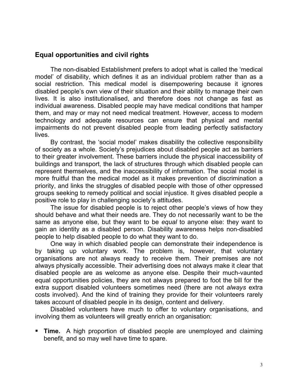## **Equal opportunities and civil rights**

The non-disabled Establishment prefers to adopt what is called the 'medical model' of disability, which defines it as an individual problem rather than as a social restriction. This medical model is disempowering because it ignores disabled people's own view of their situation and their ability to manage their own lives. It is also institutionalised, and therefore does not change as fast as individual awareness. Disabled people may have medical conditions that hamper them, and may or may not need medical treatment. However, access to modern technology and adequate resources can ensure that physical and mental impairments do not prevent disabled people from leading perfectly satisfactory lives.

By contrast, the 'social model' makes disability the collective responsibility of society as a whole. Society's prejudices about disabled people act as barriers to their greater involvement. These barriers include the physical inaccessibility of buildings and transport, the lack of structures through which disabled people can represent themselves, and the inaccessibility of information. The social model is more fruitful than the medical model as it makes prevention of discrimination a priority, and links the struggles of disabled people with those of other oppressed groups seeking to remedy political and social injustice. It gives disabled people a positive role to play in challenging society's attitudes.

The issue for disabled people is to reject other people's views of how they should behave and what their needs are. They do not necessarily want to be the same as anyone else, but they want to be *equal* to anyone else: they want to gain an identity as a disabled person. Disability awareness helps non-disabled people to help disabled people to do what they want to do.

One way in which disabled people can demonstrate their independence is by taking up voluntary work. The problem is, however, that voluntary organisations are not always ready to receive them. Their premises are not always physically accessible. Their advertising does not always make it clear that disabled people are as welcome as anyone else. Despite their much-vaunted equal opportunities policies, they are not always prepared to foot the bill for the extra support disabled volunteers sometimes need (there are not *always* extra costs involved). And the kind of training they provide for their volunteers rarely takes account of disabled people in its design, content and delivery.

Disabled volunteers have much to offer to voluntary organisations, and involving them as volunteers will greatly enrich an organisation:

 **Time.** A high proportion of disabled people are unemployed and claiming benefit, and so may well have time to spare.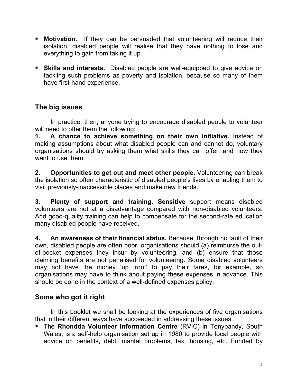- **Motivation.** If they can be persuaded that volunteering will reduce their isolation, disabled people will realise that they have nothing to lose and everything to gain from taking it up.
- **Skills and interests.** Disabled people are well-equipped to give advice on tackling such problems as poverty and isolation, because so many of them have first-hand experience.

# **The big issues**

In practice, then, anyone trying to encourage disabled people to volunteer will need to offer them the following:

**1. A chance to achieve something on their own initiative.** Instead of making assumptions about what disabled people can and cannot do, voluntary organisations should try asking them what skills they can offer, and how they want to use them.

**2. Opportunities to get out and meet other people.** Volunteering can break the isolation so often characteristic of disabled people's lives by enabling them to visit previously-inaccessible places and make new friends.

**3. Plenty of support and training. Sensitive** support means disabled volunteers are not at a disadvantage compared with non-disabled volunteers. And good-quality training can help to compensate for the second-rate education many disabled people have received.

**4. An awareness of their financial status.** Because, through no fault of their own, disabled people are often poor, organisations should (a) reimburse the outof-pocket expenses they incur by volunteering, and (b) ensure that those claiming benefits are not penalised for volunteering. Some disabled volunteers may not have the money 'up front' to pay their fares, for example, so organisations may have to think about paying these expenses in advance. This should be done in the context of a well-defined expenses policy.

## **Some who got it right**

In this booklet we shall be looking at the experiences of five organisations that in their different ways have succeeded in addressing these issues.

 The **Rhondda Volunteer Information Centre** (RVIC) in Tonypandy, South Wales, is a self-help organisation set up in 1980 to provide local people with advice on benefits, debt, marital problems, tax, housing, etc. Funded by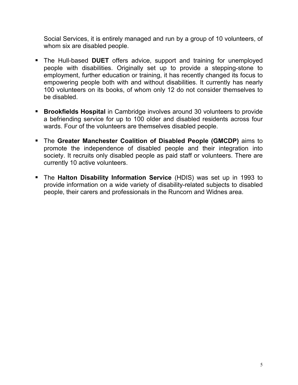Social Services, it is entirely managed and run by a group of 10 volunteers, of whom six are disabled people.

- The Hull-based **DUET** offers advice, support and training for unemployed people with disabilities. Originally set up to provide a stepping-stone to employment, further education or training, it has recently changed its focus to empowering people both with and without disabilities. It currently has nearly 100 volunteers on its books, of whom only 12 do not consider themselves to be disabled.
- **Brookfields Hospital** in Cambridge involves around 30 volunteers to provide a befriending service for up to 100 older and disabled residents across four wards. Four of the volunteers are themselves disabled people.
- The **Greater Manchester Coalition of Disabled People (GMCDP)** aims to promote the independence of disabled people and their integration into society. It recruits only disabled people as paid staff or volunteers. There are currently 10 active volunteers.
- The **Halton Disability Information Service** (HDIS) was set up in 1993 to provide information on a wide variety of disability-related subjects to disabled people, their carers and professionals in the Runcorn and Widnes area.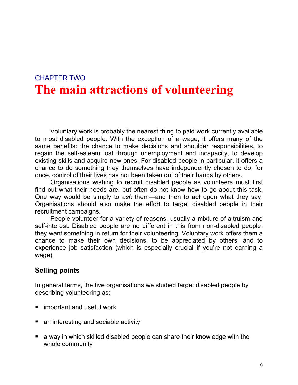# CHAPTER TWO **The main attractions of volunteering**

Voluntary work is probably the nearest thing to paid work currently available to most disabled people. With the exception of a wage, it offers many of the same benefits: the chance to make decisions and shoulder responsibilities, to regain the self-esteem lost through unemployment and incapacity, to develop existing skills and acquire new ones. For disabled people in particular, it offers a chance to do something they themselves have independently chosen to do; for once, control of their lives has not been taken out of their hands by others.

Organisations wishing to recruit disabled people as volunteers must first find out what their needs are, but often do not know how to go about this task. One way would be simply to *ask* them—and then to act upon what they say. Organisations should also make the effort to target disabled people in their recruitment campaigns.

People volunteer for a variety of reasons, usually a mixture of altruism and self-interest. Disabled people are no different in this from non-disabled people: they want something in return for their volunteering. Voluntary work offers them a chance to make their own decisions, to be appreciated by others, and to experience job satisfaction (which is especially crucial if you're not earning a wage).

## **Selling points**

In general terms, the five organisations we studied target disabled people by describing volunteering as:

- important and useful work
- an interesting and sociable activity
- a way in which skilled disabled people can share their knowledge with the whole community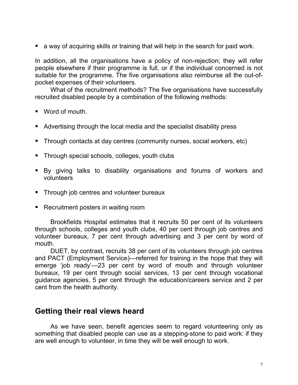a way of acquiring skills or training that will help in the search for paid work.

In addition, all the organisations have a policy of non-rejection; they will refer people elsewhere if their programme is full, or if the individual concerned is not suitable for the programme. The five organisations also reimburse all the out-ofpocket expenses of their volunteers.

What of the recruitment methods? The five organisations have successfully recruited disabled people by a combination of the following methods:

- Word of mouth.
- Advertising through the local media and the specialist disability press
- Through contacts at day centres (community nurses, social workers, etc)
- **Through special schools, colleges, youth clubs**
- By giving talks to disability organisations and forums of workers and volunteers
- **Through job centres and volunteer bureaux**
- Recruitment posters in waiting room

Brookfields Hospital estimates that it recruits 50 per cent of its volunteers through schools, colleges and youth clubs, 40 per cent through job centres and volunteer bureaux, 7 per cent through advertising and 3 per cent by word of mouth.

DUET, by contrast, recruits 38 per cent of its volunteers through job centres and PACT (Employment Service)—referred for training in the hope that they will emerge 'job ready'—23 per cent by word of mouth and through volunteer bureaux, 19 per cent through social services, 13 per cent through vocational guidance agencies, 5 per cent through the education/careers service and 2 per cent from the health authority.

# **Getting their real views heard**

As we have seen, benefit agencies seem to regard volunteering only as something that disabled people can use as a stepping-stone to paid work: if they are well enough to volunteer, in time they will be well enough to work.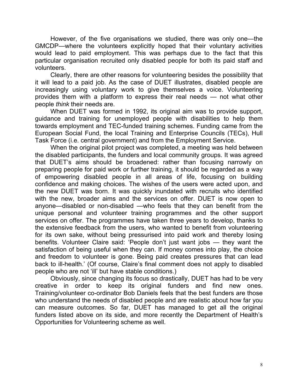However, of the five organisations we studied, there was only one—the GMCDP—where the volunteers explicitly hoped that their voluntary activities would lead to paid employment. This was perhaps due to the fact that this particular organisation recruited only disabled people for both its paid staff and volunteers.

Clearly, there are other reasons for volunteering besides the possibility that it will lead to a paid job. As the case of DUET illustrates, disabled people are increasingly using voluntary work to give themselves a voice. Volunteering provides them with a platform to express their real needs — not what other people *think* their needs are.

When DUET was formed in 1992, its original aim was to provide support, guidance and training for unemployed people with disabilities to help them towards employment and TEC-funded training schemes. Funding came from the European Social Fund, the local Training and Enterprise Councils (TECs), Hull Task Force (i.e. central government) and from the Employment Service.

When the original pilot project was completed, a meeting was held between the disabled participants, the funders and local community groups. It was agreed that DUET's aims should be broadened: rather than focusing narrowly on preparing people for paid work or further training, it should be regarded as a way of empowering disabled people in all areas of life, focusing on building confidence and making choices. The wishes of the users were acted upon, and the new DUET was born. It was quickly inundated with recruits who identified with the new, broader aims and the services on offer. DUET is now open to anyone—disabled or non-disabled —who feels that they can benefit from the unique personal and volunteer training programmes and the other support services on offer. The programmes have taken three years to develop, thanks to the extensive feedback from the users, who wanted to benefit from volunteering for its own sake, without being pressurised into paid work and thereby losing benefits. Volunteer Claire said: 'People don't just want jobs — they want the satisfaction of being useful when they can. If money comes into play, the choice and freedom to volunteer is gone. Being paid creates pressures that can lead back to ill-health.' (Of course, Claire's final comment does not apply to disabled people who are not 'ill' but have stable conditions.)

Obviously, since changing its focus so drastically, DUET has had to be very creative in order to keep its original funders and find new ones. Training/volunteer co-ordinator Bob Daniels feels that the best funders are those who understand the needs of disabled people and are realistic about how far you can measure outcomes. So far, DUET has managed to get all the original funders listed above on its side, and more recently the Department of Health's Opportunities for Volunteering scheme as well.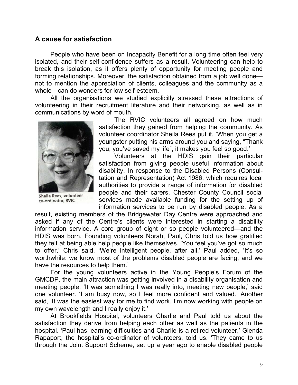#### **A cause for satisfaction**

 People who have been on Incapacity Benefit for a long time often feel very isolated, and their self-confidence suffers as a result. Volunteering can help to break this isolation, as it offers plenty of opportunity for meeting people and forming relationships. Moreover, the satisfaction obtained from a job well done not to mention the appreciation of clients, colleagues and the community as a whole—can do wonders for low self-esteem.

All the organisations we studied explicitly stressed these attractions of volunteering in their recruitment literature and their networking, as well as in communications by word of mouth.



Sheila Rees, volunteer co-ordinator, RVIC

The RVIC volunteers all agreed on how much satisfaction they gained from helping the community. As volunteer coordinator Sheila Rees put it, 'When you get a youngster putting his arms around you and saying, "Thank you, you've saved my life", it makes you feel so good.'

Volunteers at the HDIS gain their particular satisfaction from giving people useful information about disability. In response to the Disabled Persons (Consultation and Representation) Act 1986, which requires local authorities to provide a range of information for disabled people and their carers, Chester County Council social services made available funding for the setting up of information services to be run by disabled people. As a

result, existing members of the Bridgewater Day Centre were approached and asked if any of the Centre's clients were interested in starting a disability information service. A core group of eight or so people volunteered—and the HDIS was born. Founding volunteers Norah, Paul, Chris told us how gratified they felt at being able help people like themselves. 'You feel you've got so much to offer,' Chris said. 'We're intelligent people, after all.' Paul added, 'It's so worthwhile: we know most of the problems disabled people are facing, and we have the resources to help them.'

For the young volunteers active in the Young People's Forum of the GMCDP, the main attraction was getting involved in a disability organisation and meeting people. 'It was something I was really into, meeting new people,' said one volunteer. 'I am busy now, so I feel more confident and valued.' Another said, 'It was the easiest way for me to find work. I'm now working with people on my own wavelength and I really enjoy it.'

At Brookfields Hospital, volunteers Charlie and Paul told us about the satisfaction they derive from helping each other as well as the patients in the hospital. 'Paul has learning difficulties and Charlie is a retired volunteer,' Glenda Rapaport, the hospital's co-ordinator of volunteers, told us. 'They came to us through the Joint Support Scheme, set up a year ago to enable disabled people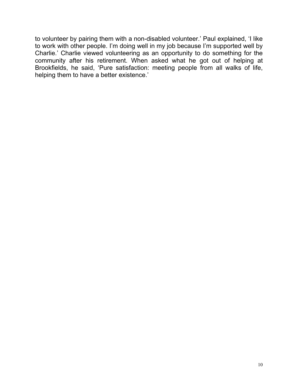to volunteer by pairing them with a non-disabled volunteer.' Paul explained, 'I like to work with other people. I'm doing well in my job because I'm supported well by Charlie.' Charlie viewed volunteering as an opportunity to do something for the community after his retirement. When asked what he got out of helping at Brookfields, he said, 'Pure satisfaction: meeting people from all walks of life, helping them to have a better existence.'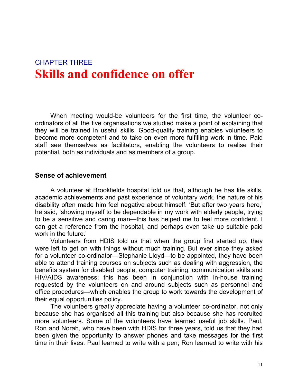# CHAPTER THREE **Skills and confidence on offer**

When meeting would-be volunteers for the first time, the volunteer coordinators of all the five organisations we studied make a point of explaining that they will be trained in useful skills. Good-quality training enables volunteers to become more competent and to take on even more fulfilling work in time. Paid staff see themselves as facilitators, enabling the volunteers to realise their potential, both as individuals and as members of a group.

#### **Sense of achievement**

A volunteer at Brookfields hospital told us that, although he has life skills, academic achievements and past experience of voluntary work, the nature of his disability often made him feel negative about himself. 'But after two years here,' he said, 'showing myself to be dependable in my work with elderly people, trying to be a sensitive and caring man—this has helped me to feel more confident. I can get a reference from the hospital, and perhaps even take up suitable paid work in the future.'

Volunteers from HDIS told us that when the group first started up, they were left to get on with things without much training. But ever since they asked for a volunteer co-ordinator—Stephanie Lloyd—to be appointed, they have been able to attend training courses on subjects such as dealing with aggression, the benefits system for disabled people, computer training, communication skills and HIV/AIDS awareness; this has been in conjunction with in-house training requested by the volunteers on and around subjects such as personnel and office procedures—which enables the group to work towards the development of their equal opportunities policy.

The volunteers greatly appreciate having a volunteer co-ordinator, not only because she has organised all this training but also because she has recruited more volunteers. Some of the volunteers have learned useful job skills. Paul, Ron and Norah, who have been with HDIS for three years, told us that they had been given the opportunity to answer phones and take messages for the first time in their lives. Paul learned to write with a pen; Ron learned to write with his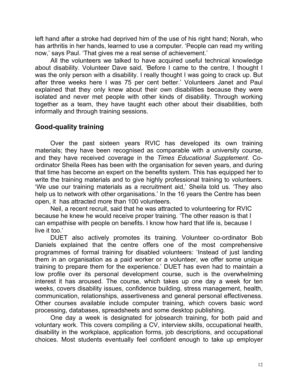left hand after a stroke had deprived him of the use of his right hand; Norah, who has arthritis in her hands, learned to use a computer. 'People can read my writing now,' says Paul. 'That gives me a real sense of achievement.'

All the volunteers we talked to have acquired useful technical knowledge about disability. Volunteer Dave said, 'Before I came to the centre, I thought I was the only person with a disability. I really thought I was going to crack up. But after three weeks here I was 75 per cent better.' Volunteers Janet and Paul explained that they only knew about their own disabilities because they were isolated and never met people with other kinds of disability. Through working together as a team, they have taught each other about their disabilities, both informally and through training sessions.

# **Good-quality training**

Over the past sixteen years RVIC has developed its own training materials; they have been recognised as comparable with a university course, and they have received coverage in the *Times Educational Supplement.* Coordinator Sheila Rees has been with the organisation for seven years, and during that time has become an expert on the benefits system. This has equipped her to write the training materials and to give highly professional training to volunteers. 'We use our training materials as a recruitment aid,' Sheila told us. 'They also help us to network with other organisations.' In the 16 years the Centre has been open, it has attracted more than 100 volunteers.

 Neil, a recent recruit, said that he was attracted to volunteering for RVIC because he knew he would receive proper training. 'The other reason is that I can empathise with people on benefits. I know how hard that life is, because I live it too.'

 DUET also actively promotes its training. Volunteer co-ordinator Bob Daniels explained that the centre offers one of the most comprehensive programmes of formal training for disabled volunteers: 'Instead of just landing them in an organisation as a paid worker or a volunteer, we offer some unique training to prepare them for the experience.' DUET has even had to maintain a low profile over its personal development course, such is the overwhelming interest it has aroused. The course, which takes up one day a week for ten weeks, covers disability issues, confidence building, stress management, health, communication, relationships, assertiveness and general personal effectiveness. Other courses available include computer training, which covers basic word processing, databases, spreadsheets and some desktop publishing.

One day a week is designated for jobsearch training, for both paid and voluntary work. This covers compiling a CV, interview skills, occupational health, disability in the workplace, application forms, job descriptions, and occupational choices. Most students eventually feel confident enough to take up employer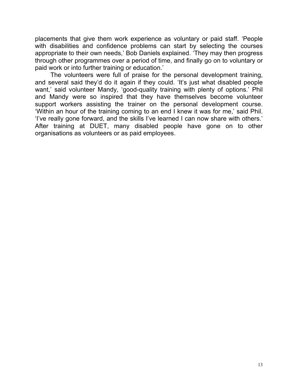placements that give them work experience as voluntary or paid staff. 'People with disabilities and confidence problems can start by selecting the courses appropriate to their own needs,' Bob Daniels explained. 'They may then progress through other programmes over a period of time, and finally go on to voluntary or paid work or into further training or education.'

The volunteers were full of praise for the personal development training, and several said they'd do it again if they could. 'It's just what disabled people want,' said volunteer Mandy, 'good-quality training with plenty of options.' Phil and Mandy were so inspired that they have themselves become volunteer support workers assisting the trainer on the personal development course. 'Within an hour of the training coming to an end I knew it was for me,' said Phil. 'I've really gone forward, and the skills I've learned I can now share with others.' After training at DUET, many disabled people have gone on to other organisations as volunteers or as paid employees.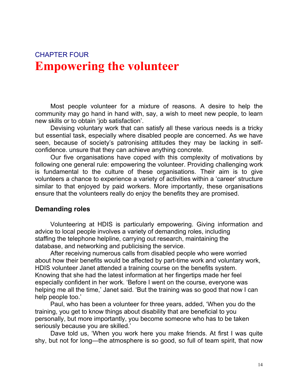# CHAPTER FOUR **Empowering the volunteer**

Most people volunteer for a mixture of reasons. A desire to help the community may go hand in hand with, say, a wish to meet new people, to learn new skills or to obtain 'job satisfaction'.

Devising voluntary work that can satisfy all these various needs is a tricky but essential task, especially where disabled people are concerned. As we have seen, because of society's patronising attitudes they may be lacking in selfconfidence. unsure that they can achieve anything concrete.

Our five organisations have coped with this complexity of motivations by following one general rule: empowering the volunteer. Providing challenging work is fundamental to the culture of these organisations. Their aim is to give volunteers a chance to experience a variety of activities within a 'career' structure similar to that enjoyed by paid workers. More importantly, these organisations ensure that the volunteers really do enjoy the benefits they are promised.

#### **Demanding roles**

Volunteering at HDIS is particularly empowering. Giving information and advice to local people involves a variety of demanding roles, including staffing the telephone helpline, carrying out research, maintaining the database, and networking and publicising the service.

 After receiving numerous calls from disabled people who were worried about how their benefits would be affected by part-time work and voluntary work, HDIS volunteer Janet attended a training course on the benefits system. Knowing that she had the latest information at her fingertips made her feel especially confident in her work. 'Before I went on the course, everyone was helping me all the time,' Janet said. 'But the training was so good that now I can help people too.'

 Paul, who has been a volunteer for three years, added, 'When you do the training, you get to know things about disability that are beneficial to you personally, but more importantly, you become someone who has to be taken seriously because you are skilled.'

Dave told us, 'When you work here you make friends. At first I was quite shy, but not for long—the atmosphere is so good, so full of team spirit, that now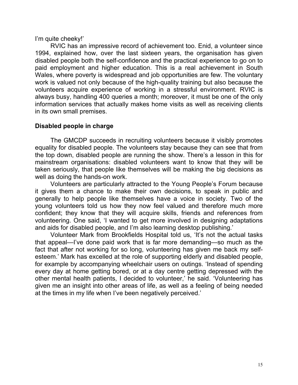I'm quite cheeky!'

RVIC has an impressive record of achievement too. Enid, a volunteer since 1994, explained how, over the last sixteen years, the organisation has given disabled people both the self-confidence and the practical experience to go on to paid employment and higher education. This is a real achievement in South Wales, where poverty is widespread and job opportunities are few. The voluntary work is valued not only because of the high-quality training but also because the volunteers acquire experience of working in a stressful environment. RVIC is always busy, handling 400 queries a month; moreover, it must be one of the only information services that actually makes home visits as well as receiving clients in its own small premises.

#### **Disabled people in charge**

The GMCDP succeeds in recruiting volunteers because it visibly promotes equality for disabled people. The volunteers stay because they can see that from the top down, disabled people are running the show. There's a lesson in this for mainstream organisations: disabled volunteers want to know that they will be taken seriously, that people like themselves will be making the big decisions as well as doing the hands-on work.

Volunteers are particularly attracted to the Young People's Forum because it gives them a chance to make their own decisions, to speak in public and generally to help people like themselves have a voice in society. Two of the young volunteers told us how they now feel valued and therefore much more confident; they know that they will acquire skills, friends and references from volunteering. One said, 'I wanted to get more involved in designing adaptations and aids for disabled people, and I'm also learning desktop publishing.'

Volunteer Mark from Brookfields Hospital told us, 'It's not the actual tasks that appeal—I've done paid work that is far more demanding—so much as the fact that after not working for so long, volunteering has given me back my selfesteem.' Mark has excelled at the role of supporting elderly and disabled people, for example by accompanying wheelchair users on outings. 'Instead of spending every day at home getting bored, or at a day centre getting depressed with the other mental health patients, I decided to volunteer,' he said. 'Volunteering has given me an insight into other areas of life, as well as a feeling of being needed at the times in my life when I've been negatively perceived.'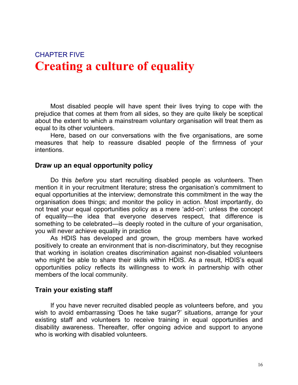# CHAPTER FIVE **Creating a culture of equality**

Most disabled people will have spent their lives trying to cope with the prejudice that comes at them from all sides, so they are quite likely be sceptical about the extent to which a mainstream voluntary organisation will treat them as equal to its other volunteers.

Here, based on our conversations with the five organisations, are some measures that help to reassure disabled people of the firmness of your intentions.

#### **Draw up an equal opportunity policy**

Do this *before* you start recruiting disabled people as volunteers. Then mention it in your recruitment literature; stress the organisation's commitment to equal opportunities at the interview; demonstrate this commitment in the way the organisation does things; and monitor the policy in action. Most importantly, do not treat your equal opportunities policy as a mere 'add-on': unless the concept of equality—the idea that everyone deserves respect, that difference is something to be celebrated—is deeply rooted in the culture of your organisation, you will never achieve equality in practice

As HDIS has developed and grown, the group members have worked positively to create an environment that is non-discriminatory, but they recognise that working in isolation creates discrimination against non-disabled volunteers who might be able to share their skills within HDIS. As a result, HDIS's equal opportunities policy reflects its willingness to work in partnership with other members of the local community.

#### **Train your existing staff**

If you have never recruited disabled people as volunteers before, and you wish to avoid embarrassing 'Does he take sugar?' situations, arrange for your existing staff and volunteers to receive training in equal opportunities and disability awareness. Thereafter, offer ongoing advice and support to anyone who is working with disabled volunteers.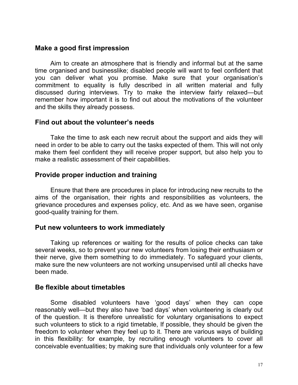#### **Make a good first impression**

 Aim to create an atmosphere that is friendly and informal but at the same time organised and businesslike; disabled people will want to feel confident that you can deliver what you promise. Make sure that your organisation's commitment to equality is fully described in all written material and fully discussed during interviews. Try to make the interview fairly relaxed—but remember how important it is to find out about the motivations of the volunteer and the skills they already possess.

#### **Find out about the volunteer's needs**

Take the time to ask each new recruit about the support and aids they will need in order to be able to carry out the tasks expected of them. This will not only make them feel confident they will receive proper support, but also help you to make a realistic assessment of their capabilities.

#### **Provide proper induction and training**

Ensure that there are procedures in place for introducing new recruits to the aims of the organisation, their rights and responsibilities as volunteers, the grievance procedures and expenses policy, etc. And as we have seen, organise good-quality training for them.

#### **Put new volunteers to work immediately**

Taking up references or waiting for the results of police checks can take several weeks, so to prevent your new volunteers from losing their enthusiasm or their nerve, give them something to do immediately. To safeguard your clients, make sure the new volunteers are not working unsupervised until all checks have been made.

#### **Be flexible about timetables**

Some disabled volunteers have 'good days' when they can cope reasonably well—but they also have 'bad days' when volunteering is clearly out of the question. It is therefore unrealistic for voluntary organisations to expect such volunteers to stick to a rigid timetable, If possible, they should be given the freedom to volunteer when they feel up to it. There are various ways of building in this flexibility: for example, by recruiting enough volunteers to cover all conceivable eventualities; by making sure that individuals only volunteer for a few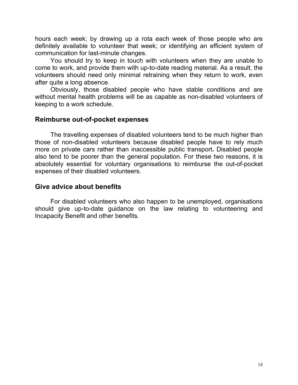hours each week; by drawing up a rota each week of those people who are definitely available to volunteer that week; or identifying an efficient system of communication for last-minute changes.

You should try to keep in touch with volunteers when they are unable to come to work, and provide them with up-to-date reading material. As a result, the volunteers should need only minimal retraining when they return to work, even after quite a long absence.

Obviously, those disabled people who have stable conditions and are without mental health problems will be as capable as non-disabled volunteers of keeping to a work schedule.

#### **Reimburse out-of-pocket expenses**

The travelling expenses of disabled volunteers tend to be much higher than those of non-disabled volunteers because disabled people have to rely much more on private cars rather than inaccessible public transport**.** Disabled people also tend to be poorer than the general population. For these two reasons, it is absolutely essential for voluntary organisations to reimburse the out-of-pocket expenses of their disabled volunteers.

#### **Give advice about benefits**

For disabled volunteers who also happen to be unemployed, organisations should give up-to-date guidance on the law relating to volunteering and Incapacity Benefit and other benefits.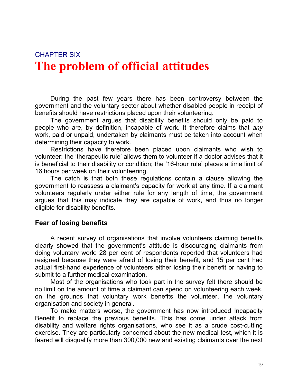# CHAPTER SIX **The problem of official attitudes**

During the past few years there has been controversy between the government and the voluntary sector about whether disabled people in receipt of benefits should have restrictions placed upon their volunteering.

The government argues that disability benefits should only be paid to people who are, by definition, incapable of work. It therefore claims that *any*  work, paid or unpaid, undertaken by claimants must be taken into account when determining their capacity to work.

Restrictions have therefore been placed upon claimants who wish to volunteer: the 'therapeutic rule' allows them to volunteer if a doctor advises that it is beneficial to their disability or condition; the '16-hour rule' places a time limit of 16 hours per week on their volunteering.

The catch is that both these regulations contain a clause allowing the government to reassess a claimant's capacity for work at any time. If a claimant volunteers regularly under either rule for any length of time, the government argues that this may indicate they are capable of work, and thus no longer eligible for disability benefits.

## **Fear of losing benefits**

A recent survey of organisations that involve volunteers claiming benefits clearly showed that the government's attitude is discouraging claimants from doing voluntary work: 28 per cent of respondents reported that volunteers had resigned because they were afraid of losing their benefit, and 15 per cent had actual first-hand experience of volunteers either losing their benefit or having to submit to a further medical examination.

Most of the organisations who took part in the survey felt there should be no limit on the amount of time a claimant can spend on volunteering each week, on the grounds that voluntary work benefits the volunteer, the voluntary organisation and society in general.

To make matters worse, the government has now introduced Incapacity Benefit to replace the previous benefits. This has come under attack from disability and welfare rights organisations, who see it as a crude cost-cutting exercise. They are particularly concerned about the new medical test, which it is feared will disqualify more than 300,000 new and existing claimants over the next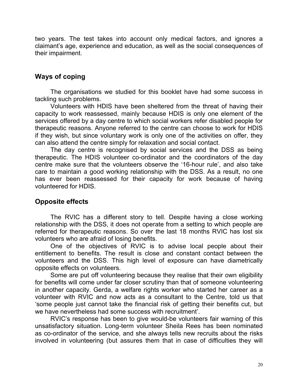two years. The test takes into account only medical factors, and ignores a claimant's age, experience and education, as well as the social consequences of their impairment.

## **Ways of coping**

The organisations we studied for this booklet have had some success in tackling such problems.

Volunteers with HDIS have been sheltered from the threat of having their capacity to work reassessed, mainly because HDIS is only one element of the services offered by a day centre to which social workers refer disabled people for therapeutic reasons. Anyone referred to the centre can choose to work for HDIS if they wish, but since voluntary work is only one of the activities on offer, they can also attend the centre simply for relaxation and social contact.

The day centre is recognised by social services and the DSS as being therapeutic. The HDIS volunteer co-ordinator and the coordinators of the day centre make sure that the volunteers observe the '16-hour rule', and also take care to maintain a good working relationship with the DSS. As a result, no one has ever been reassessed for their capacity for work because of having volunteered for HDIS.

#### **Opposite effects**

The RVIC has a different story to tell. Despite having a close working relationship with the DSS, it does not operate from a setting to which people are referred for therapeutic reasons. So over the last 18 months RVIC has lost six volunteers who are afraid of losing benefits.

One of the objectives of RVIC is to advise local people about their entitlement to benefits. The result is close and constant contact between the volunteers and the DSS. This high level of exposure can have diametrically opposite effects on volunteers.

Some are put off volunteering because they realise that their own eligibility for benefits will come under far closer scrutiny than that of someone volunteering in another capacity. Gerda, a welfare rights worker who started her career as a volunteer with RVIC and now acts as a consultant to the Centre, told us that 'some people just cannot take the financial risk of getting their benefits cut, but we have nevertheless had some success with recruitment'.

RVIC's response has been to give would-be volunteers fair warning of this unsatisfactory situation. Long-term volunteer Sheila Rees has been nominated as co-ordinator of the service, and she always tells new recruits about the risks involved in volunteering (but assures them that in case of difficulties they will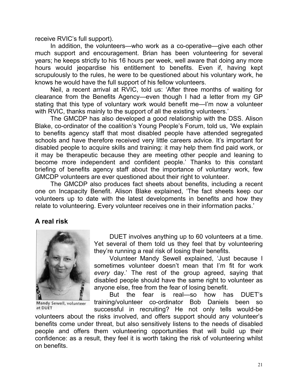receive RVIC's full support).

In addition, the volunteers—who work as a co-operative—give each other much support and encouragement. Brian has been volunteering for several years; he keeps strictly to his 16 hours per week, well aware that doing any more hours would jeopardise his entitlement to benefits. Even if, having kept scrupulously to the rules, he were to be questioned about his voluntary work, he knows he would have the full support of his fellow volunteers.

Neil, a recent arrival at RVIC, told us: 'After three months of waiting for clearance from the Benefits Agency—even though I had a letter from my GP stating that this type of voluntary work would benefit me—I'm now a volunteer with RVIC, thanks mainly to the support of all the existing volunteers.'

The GMCDP has also developed a good relationship with the DSS. Alison Blake, co-ordinator of the coalition's Young People's Forum, told us, 'We explain to benefits agency staff that most disabled people have attended segregated schools and have therefore received very little careers advice. It's important for disabled people to acquire skills and training: it may help them find paid work, or it may be therapeutic because they are meeting other people and leaning to become more independent and confident people.' Thanks to this constant briefing of benefits agency staff about the importance of voluntary work, few GMCDP volunteers are ever questioned about their right to volunteer.

The GMCDP also produces fact sheets about benefits, including a recent one on Incapacity Benefit. Alison Blake explained, 'The fact sheets keep our volunteers up to date with the latest developments in benefits and how they relate to volunteering. Every volunteer receives one in their information packs.'

## **A real risk**



Mandy Sewell, volunteer at DUET

DUET involves anything up to 60 volunteers at a time. Yet several of them told us they feel that by volunteering they're running a real risk of losing their benefits.

Volunteer Mandy Sewell explained, 'Just because I sometimes volunteer doesn't mean that I'm fit for work *every* day.' The rest of the group agreed, saying that disabled people should have the same right to volunteer as anyone else, free from the fear of losing benefit.

But the fear is real—so how has DUET's training/volunteer co-ordinator Bob Daniels been so successful in recruiting? He not only tells would-be

volunteers about the risks involved, and offers support should any volunteer's benefits come under threat, but also sensitively listens to the needs of disabled people and offers them volunteering opportunities that will build up their confidence: as a result, they feel it is worth taking the risk of volunteering whilst on benefits.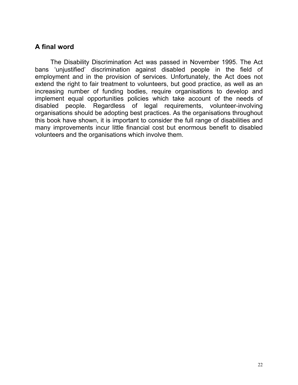## **A final word**

The Disability Discrimination Act was passed in November 1995. The Act bans 'unjustified' discrimination against disabled people in the field of employment and in the provision of services. Unfortunately, the Act does not extend the right to fair treatment to volunteers, but good practice, as well as an increasing number of funding bodies, require organisations to develop and implement equal opportunities policies which take account of the needs of disabled people. Regardless of legal requirements, volunteer-involving organisations should be adopting best practices. As the organisations throughout this book have shown, it is important to consider the full range of disabilities and many improvements incur little financial cost but enormous benefit to disabled volunteers and the organisations which involve them.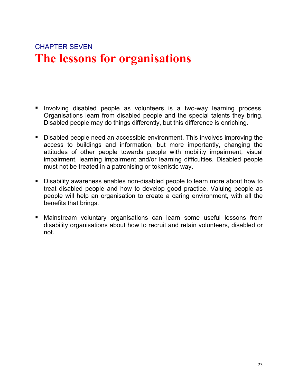# CHAPTER SEVEN **The lessons for organisations**

- Involving disabled people as volunteers is a two-way learning process. Organisations learn from disabled people and the special talents they bring. Disabled people may do things differently, but this difference is enriching.
- Disabled people need an accessible environment. This involves improving the access to buildings and information, but more importantly, changing the attitudes of other people towards people with mobility impairment, visual impairment, learning impairment and/or learning difficulties. Disabled people must not be treated in a patronising or tokenistic way.
- Disability awareness enables non-disabled people to learn more about how to treat disabled people and how to develop good practice. Valuing people as people will help an organisation to create a caring environment, with all the benefits that brings.
- Mainstream voluntary organisations can learn some useful lessons from disability organisations about how to recruit and retain volunteers, disabled or not.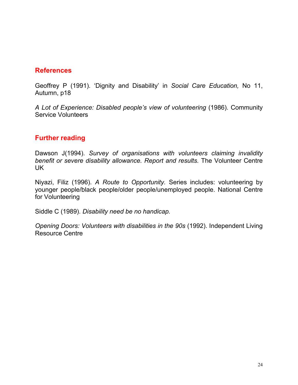## **References**

Geoffrey P (1991). 'Dignity and Disability' in *Social Care Education,* No 11, Autumn, p18

*A Lot of Experience: Disabled people's view of volunteering* (1986). Community Service Volunteers

# **Further reading**

Dawson J(1994). *Survey of organisations with volunteers claiming invalidity benefit or severe disability allowance. Report and results.* The Volunteer Centre UK

Niyazi, Filiz (1996). *A Route to Opportunity.* Series includes: volunteering by younger people/black people/older people/unemployed people. National Centre for Volunteering

Siddle C (1989). *Disability need be no handicap.* 

*Opening Doors: Volunteers with disabilities in the 90s* (1992). Independent Living Resource Centre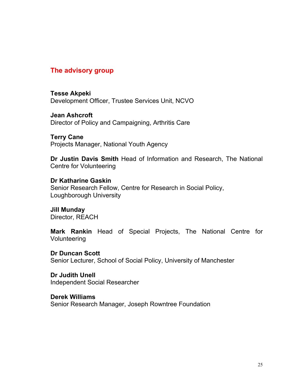### **The advisory group**

**Tesse Akpeki**  Development Officer, Trustee Services Unit, NCVO

**Jean Ashcroft**  Director of Policy and Campaigning, Arthritis Care

**Terry Cane**  Projects Manager, National Youth Agency

**Dr Justin Davis Smith** Head of Information and Research, The National Centre for Volunteering

**Dr Katharine Gaskin** 

Senior Research Fellow, Centre for Research in Social Policy, Loughborough University

**Jill Munday**  Director, REACH

**Mark Rankin** Head of Special Projects, The National Centre for Volunteering

**Dr Duncan Scott** 

Senior Lecturer, School of Social Policy, University of Manchester

**Dr Judith Unell**  Independent Social Researcher

**Derek Williams** 

Senior Research Manager, Joseph Rowntree Foundation